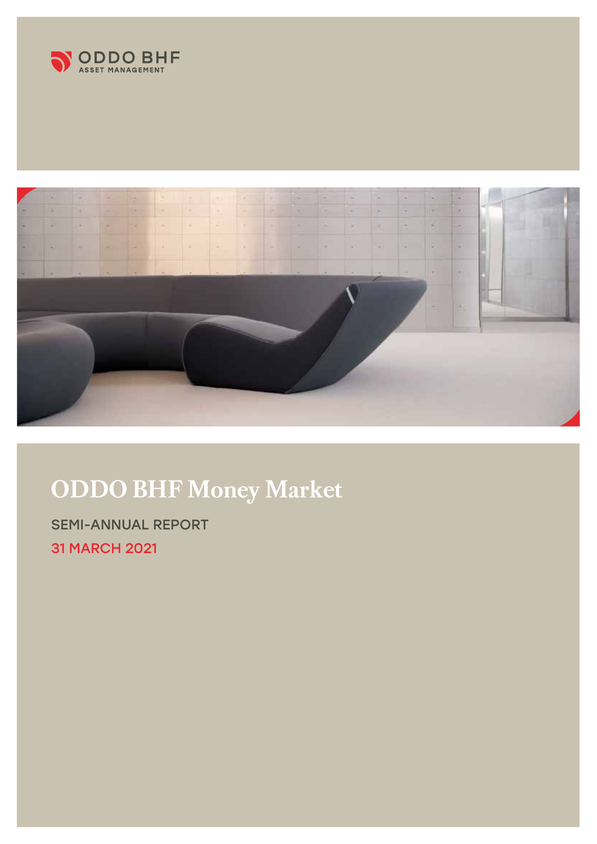



# **ODDO BHF Money Market**

SEMI-ANNUAL REPORT 31 MARCH 2021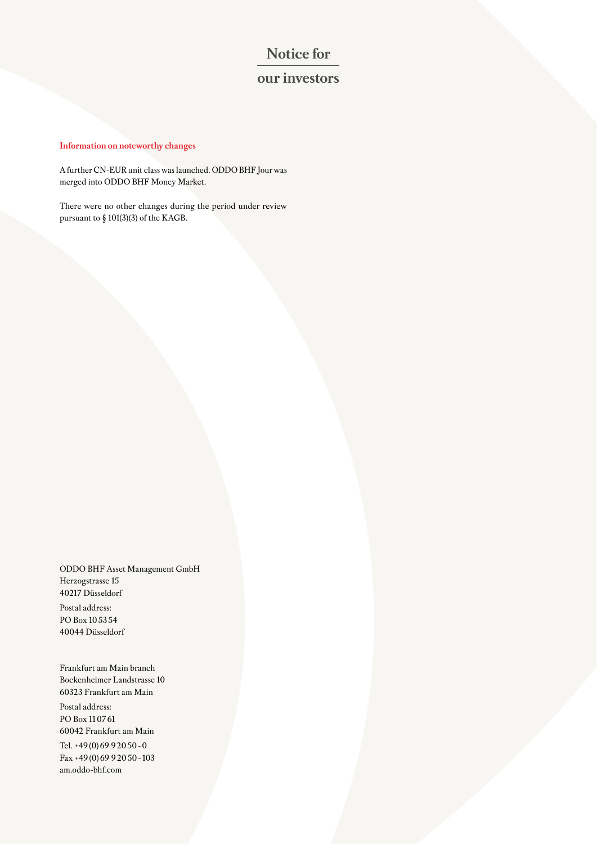# **Notice for**

# **our investors**

## **Information on noteworthy changes**

A further CN-EUR unit class was launched. ODDO BHF Jour was merged into ODDO BHF Money Market.

There were no other changes during the period under review pursuant to § 101(3)(3) of the KAGB.

ODDO BHF Asset Management GmbH Herzogstrasse 15 40217 Düsseldorf

Postal address: PO Box 105354 40044 Düsseldorf

Frankfurt am Main branch Bockenheimer Landstrasse 10 60323 Frankfurt am Main Postal address: PO Box 110761 60042 Frankfurt am Main Tel. +49(0)69 92050-0 Fax +49(0)69 92050-103 am.oddo-bhf.com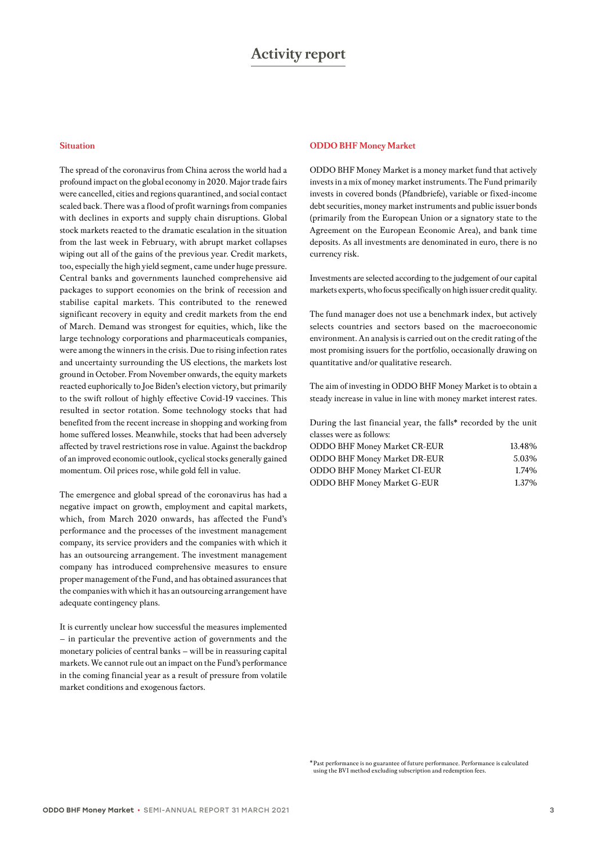#### **Situation**

The spread of the coronavirus from China across the world had a profound impact on the global economy in 2020. Major trade fairs were cancelled, cities and regions quarantined, and social contact scaled back. There was a flood of profit warnings from companies with declines in exports and supply chain disruptions. Global stock markets reacted to the dramatic escalation in the situation from the last week in February, with abrupt market collapses wiping out all of the gains of the previous year. Credit markets, too, especially the high yield segment, came under huge pressure. Central banks and governments launched comprehensive aid packages to support economies on the brink of recession and stabilise capital markets. This contributed to the renewed significant recovery in equity and credit markets from the end of March. Demand was strongest for equities, which, like the large technology corporations and pharmaceuticals companies, were among the winners in the crisis. Due to rising infection rates and uncertainty surrounding the US elections, the markets lost ground in October. From November onwards, the equity markets reacted euphorically to Joe Biden's election victory, but primarily to the swift rollout of highly effective Covid-19 vaccines. This resulted in sector rotation. Some technology stocks that had benefited from the recent increase in shopping and working from home suffered losses. Meanwhile, stocks that had been adversely affected by travel restrictions rose in value. Against the backdrop of an improved economic outlook, cyclical stocks generally gained momentum. Oil prices rose, while gold fell in value.

The emergence and global spread of the coronavirus has had a negative impact on growth, employment and capital markets, which, from March 2020 onwards, has affected the Fund's performance and the processes of the investment management company, its service providers and the companies with which it has an outsourcing arrangement. The investment management company has introduced comprehensive measures to ensure proper management of the Fund, and has obtained assurances that the companies with which it has an outsourcing arrangement have adequate contingency plans.

It is currently unclear how successful the measures implemented – in particular the preventive action of governments and the monetary policies of central banks – will be in reassuring capital markets. We cannot rule out an impact on the Fund's performance in the coming financial year as a result of pressure from volatile market conditions and exogenous factors.

#### **ODDO BHF Money Market**

ODDO BHF Money Market is a money market fund that actively invests in a mix of money market instruments. The Fund primarily invests in covered bonds (Pfandbriefe), variable or fixed-income debt securities, money market instruments and public issuer bonds (primarily from the European Union or a signatory state to the Agreement on the European Economic Area), and bank time deposits. As all investments are denominated in euro, there is no currency risk.

Investments are selected according to the judgement of our capital markets experts, who focus specifically on high issuer credit quality.

The fund manager does not use a benchmark index, but actively selects countries and sectors based on the macroeconomic environment. An analysis is carried out on the credit rating of the most promising issuers for the portfolio, occasionally drawing on quantitative and/or qualitative research.

The aim of investing in ODDO BHF Money Market is to obtain a steady increase in value in line with money market interest rates.

During the last financial year, the falls\* recorded by the unit classes were as follows:

| <b>ODDO BHF Money Market CR-EUR</b> | 13.48% |
|-------------------------------------|--------|
| <b>ODDO BHF Money Market DR-EUR</b> | 5.03%  |
| <b>ODDO BHF Money Market CI-EUR</b> | 1.74%  |
| <b>ODDO BHF Money Market G-EUR</b>  | 1.37%  |
|                                     |        |

\* Past performance is no guarantee of future performance. Performance is calculated using the BVI method excluding subscription and redemption fees.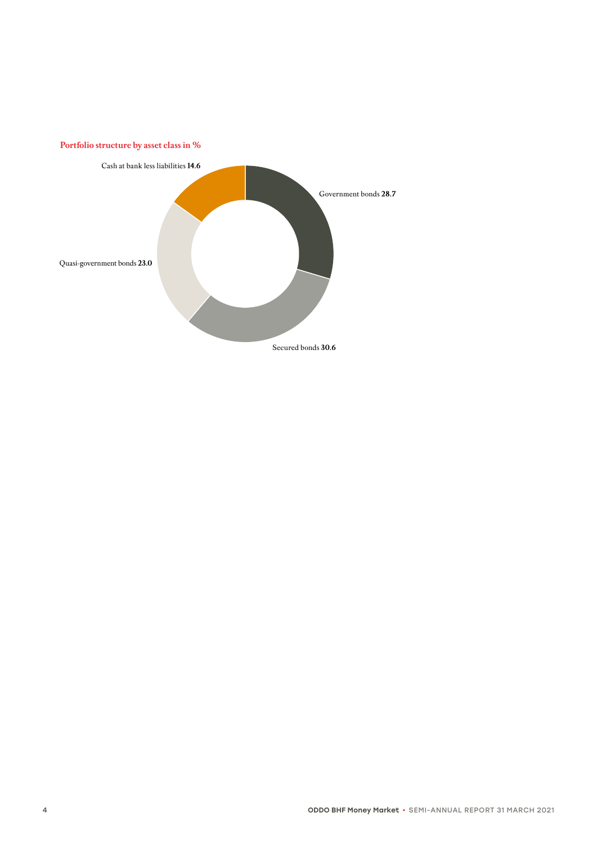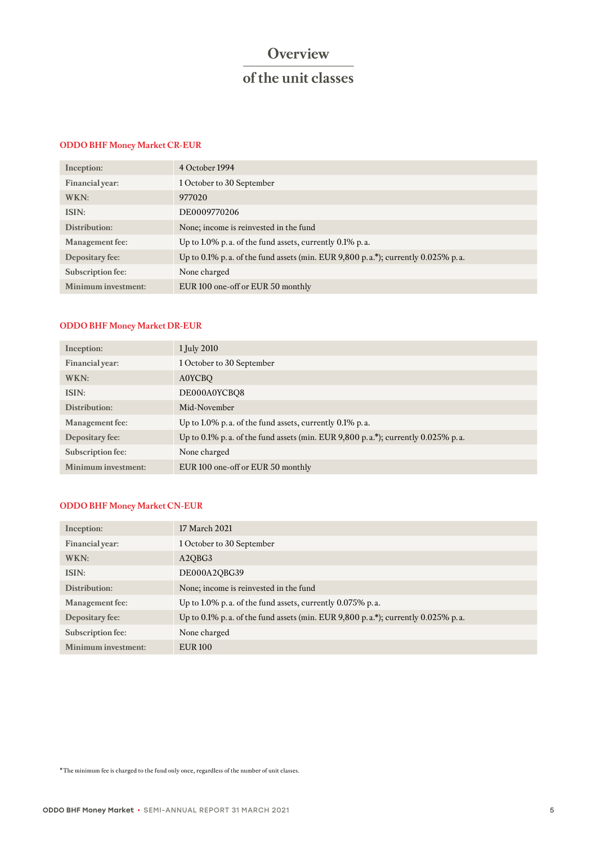# **Overview**

# **of the unit classes**

## **ODDO BHF Money Market CR-EUR**

| Inception:             | 4 October 1994                                                                        |
|------------------------|---------------------------------------------------------------------------------------|
| Financial year:        | 1 October to 30 September                                                             |
| WKN:                   | 977020                                                                                |
| ISIN:                  | DE0009770206                                                                          |
| Distribution:          | None; income is reinvested in the fund                                                |
| <b>Management</b> fee: | Up to 1.0% p. a. of the fund assets, currently $0.1\%$ p. a.                          |
| Depositary fee:        | Up to 0.1% p. a. of the fund assets (min. EUR $9,800$ p. a.*); currently 0.025% p. a. |
| Subscription fee:      | None charged                                                                          |
| Minimum investment:    | EUR 100 one-off or EUR 50 monthly                                                     |

# **ODDO BHF Money Market DR-EUR**

| Inception:             | 1 July 2010                                                                      |
|------------------------|----------------------------------------------------------------------------------|
| Financial year:        | 1 October to 30 September                                                        |
| WKN:                   | <b>A0YCBO</b>                                                                    |
| ISIN:                  | DE000A0YCBO8                                                                     |
| Distribution:          | Mid-November                                                                     |
| <b>Management</b> fee: | Up to 1.0% p. a. of the fund assets, currently $0.1\%$ p. a.                     |
| Depositary fee:        | Up to 0.1% p.a. of the fund assets (min. EUR 9,800 p.a.*); currently 0.025% p.a. |
| Subscription fee:      | None charged                                                                     |
| Minimum investment:    | EUR 100 one-off or EUR 50 monthly                                                |

## **ODDO BHF Money Market CN-EUR**

| Inception:             | 17 March 2021                                                                         |
|------------------------|---------------------------------------------------------------------------------------|
| Financial year:        | 1 October to 30 September                                                             |
| WKN:                   | A <sub>2</sub> OB <sub>G</sub> 3                                                      |
| ISIN:                  | DE000A2QBG39                                                                          |
| Distribution:          | None; income is reinvested in the fund                                                |
| <b>Management</b> fee: | Up to 1.0% p.a. of the fund assets, currently 0.075% p.a.                             |
| Depositary fee:        | Up to 0.1% p. a. of the fund assets (min. EUR $9,800$ p. a.*); currently 0.025% p. a. |
| Subscription fee:      | None charged                                                                          |
| Minimum investment:    | <b>EUR 100</b>                                                                        |

\* The minimum fee is charged to the fund only once, regardless of the number of unit classes.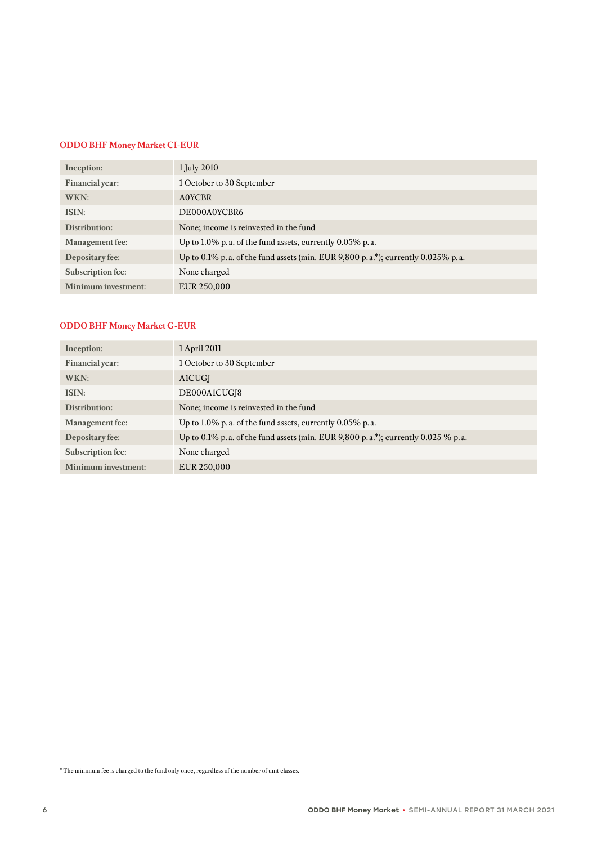## **ODDO BHF Money Market CI-EUR**

| Inception:             | 1 July 2010                                                                      |
|------------------------|----------------------------------------------------------------------------------|
| Financial year:        | 1 October to 30 September                                                        |
| WKN:                   | A0YCBR                                                                           |
| ISIN:                  | DE000A0YCBR6                                                                     |
| Distribution:          | None; income is reinvested in the fund                                           |
| <b>Management</b> fee: | Up to 1.0% p. a. of the fund assets, currently $0.05\%$ p. a.                    |
| Depositary fee:        | Up to 0.1% p.a. of the fund assets (min. EUR 9,800 p.a.*); currently 0.025% p.a. |
| Subscription fee:      | None charged                                                                     |
| Minimum investment:    | EUR 250,000                                                                      |
|                        |                                                                                  |

# **ODDO BHF Money Market G-EUR**

| Inception:             | 1 April 2011                                                                      |
|------------------------|-----------------------------------------------------------------------------------|
| Financial year:        | 1 October to 30 September                                                         |
| WKN:                   | <b>A1CUGI</b>                                                                     |
| ISIN:                  | DE000A1CUGI8                                                                      |
| Distribution:          | None; income is reinvested in the fund                                            |
| <b>Management</b> fee: | Up to 1.0% p. a. of the fund assets, currently $0.05\%$ p. a.                     |
| Depositary fee:        | Up to 0.1% p.a. of the fund assets (min. EUR 9,800 p.a.*); currently 0.025 % p.a. |
| Subscription fee:      | None charged                                                                      |
| Minimum investment:    | EUR 250,000                                                                       |

\* The minimum fee is charged to the fund only once, regardless of the number of unit classes.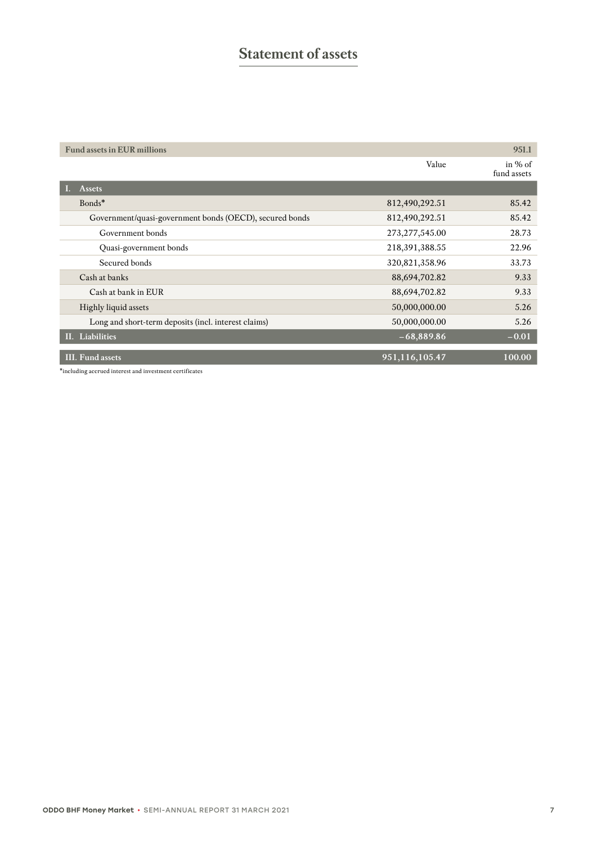# **Statement of assets**

| <b>Fund assets in EUR millions</b>                      |                  | 951.1                    |
|---------------------------------------------------------|------------------|--------------------------|
|                                                         | Value            | in $%$ of<br>fund assets |
| <b>Assets</b>                                           |                  |                          |
| Bonds*                                                  | 812,490,292.51   | 85.42                    |
| Government/quasi-government bonds (OECD), secured bonds | 812,490,292.51   | 85.42                    |
| Government bonds                                        | 273, 277, 545.00 | 28.73                    |
| Quasi-government bonds                                  | 218,391,388.55   | 22.96                    |
| Secured bonds                                           | 320,821,358.96   | 33.73                    |
| Cash at banks                                           | 88,694,702.82    | 9.33                     |
| Cash at bank in EUR                                     | 88,694,702.82    | 9.33                     |
| Highly liquid assets                                    | 50,000,000.00    | 5.26                     |
| Long and short-term deposits (incl. interest claims)    | 50,000,000.00    | 5.26                     |
| II. Liabilities                                         | $-68,889.86$     | $-0.01$                  |
| <b>III.</b> Fund assets                                 | 951,116,105.47   | 100.00                   |

\*including accrued interest and investment certificates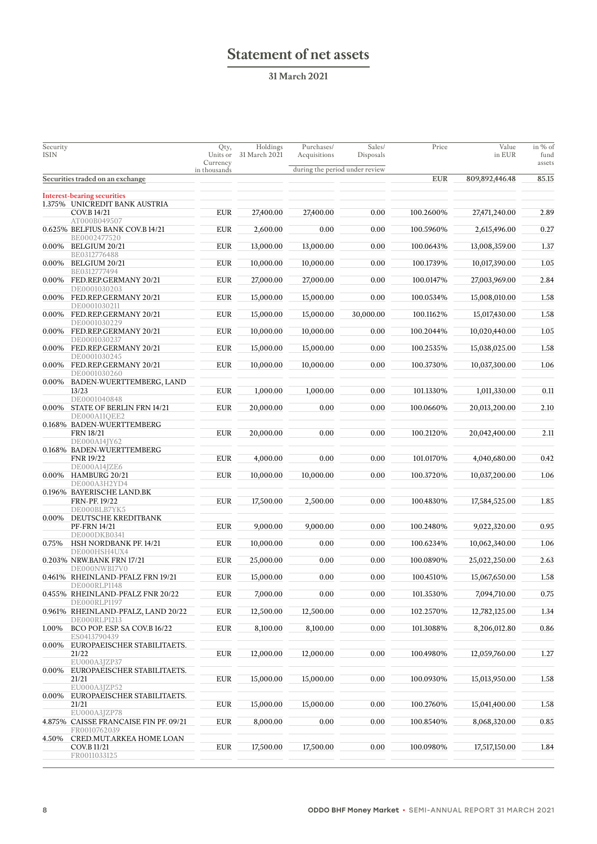# **Statement of net assets**

**31 March 2021**

| Security<br>ISIN |                                                                 | Qty,<br>Units or<br>Currency | Holdings<br>31 March 2021 | Purchases/<br>Acquisitions     | Sales/<br>Disposals | Price      | Value<br>in EUR | in % of<br>fund<br>assets |
|------------------|-----------------------------------------------------------------|------------------------------|---------------------------|--------------------------------|---------------------|------------|-----------------|---------------------------|
|                  | Securities traded on an exchange                                | in thousands                 |                           | during the period under review |                     | <b>EUR</b> | 809,892,446.48  | 85.15                     |
|                  |                                                                 |                              |                           |                                |                     |            |                 |                           |
|                  | <b>Interest-bearing securities</b>                              |                              |                           |                                |                     |            |                 |                           |
|                  | 1.375% UNICREDIT BANK AUSTRIA<br>COV.B 14/21                    | <b>EUR</b>                   | 27,400.00                 | 27,400.00                      | 0.00                | 100.2600%  | 27,471,240.00   | 2.89                      |
|                  | AT000B049507<br>0.625% BELFIUS BANK COV.B 14/21                 | <b>EUR</b>                   | 2,600.00                  | 0.00                           | 0.00                | 100.5960%  | 2,615,496.00    | 0.27                      |
|                  | BE0002477520<br>0.00% BELGIUM 20/21                             | <b>EUR</b>                   | 13,000.00                 | 13,000.00                      | 0.00                | 100.0643%  | 13,008,359.00   | 1.37                      |
|                  | BE0312776488<br>0.00% BELGIUM 20/21                             | <b>EUR</b>                   | 10,000.00                 | 10,000.00                      | 0.00                | 100.1739%  | 10,017,390.00   | 1.05                      |
|                  | BE0312777494                                                    |                              |                           |                                |                     |            |                 |                           |
|                  | 0.00% FED.REP.GERMANY 20/21<br>DE0001030203                     | <b>EUR</b>                   | 27,000.00                 | 27,000.00                      | 0.00                | 100.0147%  | 27,003,969.00   | 2.84                      |
|                  | 0.00% FED.REP.GERMANY 20/21<br>DE0001030211                     | <b>EUR</b>                   | 15,000.00                 | 15,000.00                      | 0.00                | 100.0534%  | 15,008,010.00   | 1.58                      |
| $0.00\%$         | FED.REP.GERMANY 20/21<br>DE0001030229                           | <b>EUR</b>                   | 15,000.00                 | 15,000.00                      | 30,000.00           | 100.1162%  | 15,017,430.00   | 1.58                      |
| $0.00\%$         | FED.REP.GERMANY 20/21<br>DE0001030237                           | <b>EUR</b>                   | 10,000.00                 | 10,000.00                      | 0.00                | 100.2044%  | 10,020,440.00   | 1.05                      |
|                  | 0.00% FED.REP.GERMANY 20/21                                     | <b>EUR</b>                   | 15,000.00                 | 15,000.00                      | 0.00                | 100.2535%  | 15,038,025.00   | 1.58                      |
|                  | DE0001030245<br>0.00% FED.REP.GERMANY 20/21<br>DE0001030260     | <b>EUR</b>                   | 10,000.00                 | 10,000.00                      | 0.00                | 100.3730%  | 10,037,300.00   | 1.06                      |
|                  | 0.00% BADEN-WUERTTEMBERG, LAND<br>13/23                         | <b>EUR</b>                   | 1,000.00                  | 1,000.00                       | 0.00                | 101.1330%  | 1,011,330.00    | 0.11                      |
|                  | DE0001040848<br>0.00% STATE OF BERLIN FRN 14/21<br>DE000A11QEE2 | <b>EUR</b>                   | 20,000.00                 | 0.00                           | 0.00                | 100.0660%  | 20,013,200.00   | 2.10                      |
|                  | 0.168% BADEN-WUERTTEMBERG                                       |                              |                           |                                |                     |            |                 |                           |
|                  | <b>FRN 18/21</b><br>DE000A14JY62                                | <b>EUR</b>                   | 20,000.00                 | 0.00                           | 0.00                | 100.2120%  | 20,042,400.00   | 2.11                      |
|                  | 0.168% BADEN-WUERTTEMBERG<br><b>FNR 19/22</b>                   | <b>EUR</b>                   | 4,000.00                  | 0.00                           | 0.00                | 101.0170%  | 4,040,680.00    | 0.42                      |
| $0.00\%$         | DE000A14JZE6<br>HAMBURG 20/21<br>DE000A3H2YD4                   | <b>EUR</b>                   | 10,000.00                 | 10,000.00                      | 0.00                | 100.3720%  | 10,037,200.00   | 1.06                      |
|                  | 0.196% BAYERISCHE LAND.BK                                       |                              |                           |                                |                     |            |                 |                           |
|                  | FRN-PF. 19/22<br>DE000BLB7YK5                                   | <b>EUR</b>                   | 17,500.00                 | 2,500.00                       | 0.00                | 100.4830%  | 17,584,525.00   | 1.85                      |
| $0.00\%$         | DEUTSCHE KREDITBANK<br><b>PF-FRN 14/21</b>                      | <b>EUR</b>                   | 9,000.00                  | 9,000.00                       | 0.00                | 100.2480%  | 9,022,320.00    | 0.95                      |
| 0.75%            | DE000DKB0341<br>HSH NORDBANK PF. 14/21                          | <b>EUR</b>                   | 10,000.00                 | 0.00                           | 0.00                | 100.6234%  | 10,062,340.00   | 1.06                      |
|                  | DE000HSH4UX4<br>0.203% NRW.BANK FRN 17/21                       | <b>EUR</b>                   | 25,000.00                 | 0.00                           | 0.00                | 100.0890%  | 25,022,250.00   | 2.63                      |
|                  | DE000NWB17V0                                                    |                              |                           |                                |                     |            |                 |                           |
|                  | 0.461% RHEINLAND-PFALZ FRN 19/21<br>DE000RLP1148                | <b>EUR</b>                   | 15,000.00                 | 0.00                           | 0.00                | 100.4510%  | 15,067,650.00   | 1.58                      |
|                  | 0.455% RHEINLAND-PFALZ FNR 20/22<br>DE000RLP1197                | <b>EUR</b>                   | 7,000.00                  | 0.00                           | $0.00\,$            | 101.3530%  | 7,094,710.00    | 0.75                      |
|                  | 0.961% RHEINLAND-PFALZ, LAND 20/22<br>DE000RLP1213              | <b>EUR</b>                   | 12,500.00                 | 12,500.00                      | 0.00                | 102.2570%  | 12,782,125.00   | 1.34                      |
| 1.00%            | BCO POP. ESP. SA COV.B 16/22<br>ES0413790439                    | <b>EUR</b>                   | 8,100.00                  | 8,100.00                       | 0.00                | 101.3088%  | 8,206,012.80    | 0.86                      |
|                  | 0.00% EUROPAEISCHER STABILITAETS.<br>21/22                      | <b>EUR</b>                   | 12,000.00                 | 12,000.00                      | 0.00                | 100.4980%  | 12,059,760.00   | 1.27                      |
| 0.00%            | EU000A3JZP37<br>EUROPAEISCHER STABILITAETS.                     |                              |                           |                                |                     |            |                 |                           |
|                  | 21/21                                                           | <b>EUR</b>                   | 15,000.00                 | 15,000.00                      | 0.00                | 100.0930%  | 15,013,950.00   | 1.58                      |
| $0.00\%$         | EU000A3JZP52<br>EUROPAEISCHER STABILITAETS.                     |                              |                           |                                |                     |            |                 |                           |
|                  | 21/21<br>EU000A3JZP78                                           | <b>EUR</b>                   | 15,000.00                 | 15,000.00                      | 0.00                | 100.2760%  | 15,041,400.00   | 1.58                      |
|                  | 4.875% CAISSE FRANCAISE FIN PF. 09/21<br>FR0010762039           | <b>EUR</b>                   | 8,000.00                  | 0.00                           | 0.00                | 100.8540%  | 8,068,320.00    | 0.85                      |
| 4.50%            | CRED.MUT.ARKEA HOME LOAN<br>COV.B 11/21<br>FR0011033125         | <b>EUR</b>                   | 17,500.00                 | 17,500.00                      | 0.00                | 100.0980%  | 17,517,150.00   | 1.84                      |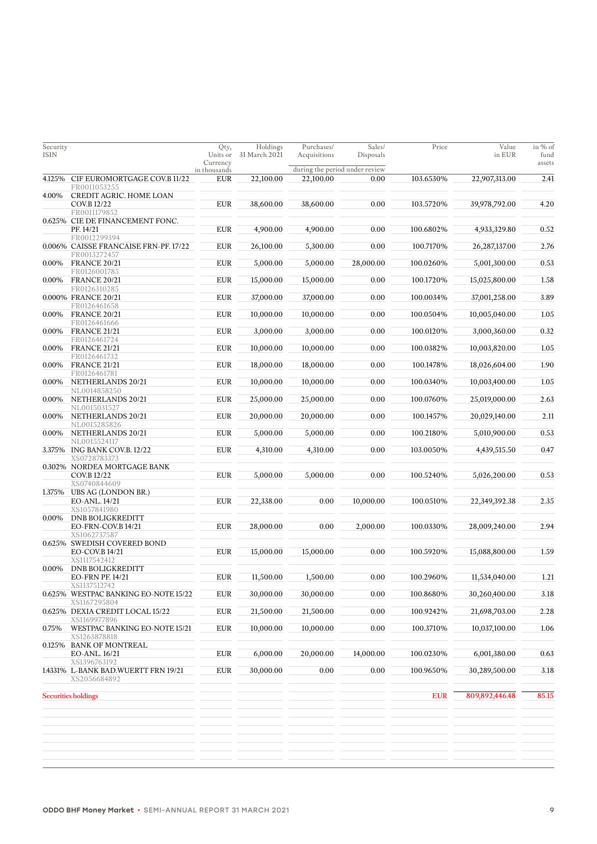| Security<br><b>ISIN</b> |                                                              | Qty,<br>Units or<br>Currency | Holdings<br>31 March 2021 | Purchases/<br>Acquisitions     | Sales/<br>Disposals | Price      | Value<br>in EUR | in % of<br>fund<br>assets |
|-------------------------|--------------------------------------------------------------|------------------------------|---------------------------|--------------------------------|---------------------|------------|-----------------|---------------------------|
|                         |                                                              | in thousands                 |                           | during the period under review |                     |            |                 |                           |
| 4.125%                  | CIF EUROMORTGAGE COV.B 11/22<br>FR0011053255                 | <b>EUR</b>                   | 22,100.00                 | 22,100.00                      | 0.00                | 103.6530%  | 22,907,313.00   | 2.41                      |
| 4.00%                   | CREDIT AGRIC. HOME LOAN<br>COV.B 12/22<br>FR0011179852       | <b>EUR</b>                   | 38,600.00                 | 38,600.00                      | 0.00                | 103.5720%  | 39,978,792.00   | 4.20                      |
|                         | 0.625% CIE DE FINANCEMENT FONC.<br>PF. 14/21                 | <b>EUR</b>                   | 4,900.00                  | 4,900.00                       | 0.00                | 100.6802%  | 4,933,329.80    | 0.52                      |
|                         | FR0012299394<br>0.006% CAISSE FRANCAISE FRN-PF. 17/22        | <b>EUR</b>                   | 26,100.00                 | 5,300.00                       | 0.00                | 100.7170%  | 26,287,137.00   | 2.76                      |
|                         | FR0013272457                                                 |                              |                           |                                |                     |            |                 |                           |
| 0.00%                   | <b>FRANCE 20/21</b><br>FR0126001785                          | <b>EUR</b>                   | 5,000.00                  | 5,000.00                       | 28,000.00           | 100.0260%  | 5,001,300.00    | 0.53                      |
| 0.00%                   | <b>FRANCE 20/21</b><br>FR0126310285                          | <b>EUR</b>                   | 15,000.00                 | 15,000.00                      | 0.00                | 100.1720%  | 15,025,800.00   | 1.58                      |
|                         | 0.000% FRANCE 20/21                                          | <b>EUR</b>                   | 37,000.00                 | 37,000.00                      | 0.00                | 100.0034%  | 37,001,258.00   | 3.89                      |
| 0.00%                   | FR0126461658<br><b>FRANCE 20/21</b>                          | <b>EUR</b>                   | 10,000.00                 | 10,000.00                      | 0.00                | 100.0504%  | 10,005,040.00   | 1.05                      |
| 0.00%                   | FR0126461666<br><b>FRANCE 21/21</b>                          | <b>EUR</b>                   | 3,000.00                  | 3,000.00                       | 0.00                | 100.0120%  | 3,000,360.00    | 0.32                      |
|                         | FR0126461724                                                 |                              |                           |                                |                     |            |                 |                           |
| 0.00%                   | <b>FRANCE 21/21</b><br>FR0126461732                          | <b>EUR</b>                   | 10,000.00                 | 10,000.00                      | 0.00                | 100.0382%  | 10,003,820.00   | 1.05                      |
| 0.00%                   | <b>FRANCE 21/21</b><br>FR0126461781                          | <b>EUR</b>                   | 18,000.00                 | 18,000.00                      | 0.00                | 100.1478%  | 18,026,604.00   | 1.90                      |
| 0.00%                   | NETHERLANDS 20/21                                            | <b>EUR</b>                   | 10,000.00                 | 10,000.00                      | 0.00                | 100.0340%  | 10,003,400.00   | 1.05                      |
| 0.00%                   | NL0014858250<br>NETHERLANDS 20/21                            | <b>EUR</b>                   | 25,000.00                 | 25,000.00                      | 0.00                | 100.0760%  | 25,019,000.00   | 2.63                      |
| 0.00%                   | NL0015031527<br>NETHERLANDS 20/21                            | <b>EUR</b>                   | 20,000.00                 | 20,000.00                      | 0.00                | 100.1457%  | 20,029,140.00   | 2.11                      |
| 0.00%                   | NL0015285826<br>NETHERLANDS 20/21                            | <b>EUR</b>                   | 5,000.00                  | 5,000.00                       | 0.00                | 100.2180%  | 5,010,900.00    | 0.53                      |
|                         | NL0015524117<br>3.375% ING BANK COV.B. 12/22<br>XS0728783373 | <b>EUR</b>                   | 4,310.00                  | 4,310.00                       | 0.00                | 103.0050%  | 4,439,515.50    | 0.47                      |
|                         | 0.302% NORDEA MORTGAGE BANK<br>COV.B 12/22                   | <b>EUR</b>                   | 5,000.00                  | 5,000.00                       | 0.00                | 100.5240%  | 5,026,200.00    | 0.53                      |
|                         | XS0740844609<br>1.375% UBS AG (LONDON BR.)                   |                              |                           |                                |                     |            |                 |                           |
|                         | EO-ANL, 14/21<br>XS1057841980                                | <b>EUR</b>                   | 22,338.00                 | 0.00                           | 10,000.00           | 100.0510%  | 22,349,392.38   | 2.35                      |
| 0.00%                   | <b>DNB BOLIGKREDITT</b><br>EO-FRN-COV.B 14/21                | <b>EUR</b>                   | 28,000.00                 | 0.00                           | 2,000.00            | 100.0330%  | 28,009,240.00   | 2.94                      |
|                         | XS1062737587<br>0.625% SWEDISH COVERED BOND                  |                              |                           |                                |                     |            |                 |                           |
|                         | EO-COV.B 14/21<br>XS1117542412                               | <b>EUR</b>                   | 15,000.00                 | 15,000.00                      | 0.00                | 100.5920%  | 15,088,800.00   | 1.59                      |
| 0.00%                   | <b>DNB BOLIGKREDITT</b>                                      |                              |                           |                                |                     |            |                 |                           |
|                         | <b>EO-FRN PF. 14/21</b><br>XS1137512742                      | <b>EUR</b>                   | 11,500.00                 | 1,500.00                       | 0.00                | 100.2960%  | 11,534,040.00   | 1.21                      |
|                         | 0.625% WESTPAC BANKING EO-NOTE 15/22<br>XS1167295804         | ${\rm EUR}$                  | 30,000.00                 | 30,000.00                      | 0.00                | 100.8680%  | 30,260,400.00   | 3.18                      |
|                         | 0.625% DEXIA CREDIT LOCAL 15/22<br>XS1169977896              | ${\rm EUR}$                  | 21,500.00                 | 21,500.00                      | 0.00                | 100.9242%  | 21,698,703.00   | 2.28                      |
| 0.75%                   | WESTPAC BANKING EO-NOTE 15/21<br>XS1263878818                | ${\rm EUR}$                  | 10,000.00                 | 10,000.00                      | 0.00                | 100.3710%  | 10,037,100.00   | 1.06                      |
|                         | 0.125% BANK OF MONTREAL<br>EO-ANL. 16/21                     | ${\rm EUR}$                  | 6,000.00                  | 20,000.00                      | 14,000.00           | 100.0230%  | 6,001,380.00    | 0.63                      |
|                         | XS1396763192                                                 |                              |                           |                                |                     |            |                 |                           |
|                         | 1,4331% L-BANK BAD.WUERTT FRN 19/21<br>XS2056684892          | <b>EUR</b>                   | 30,000.00                 | 0.00                           | 0.00                | 100.9650%  | 30,289,500.00   | 3.18                      |
|                         | <b>Securities holdings</b>                                   |                              |                           |                                |                     | <b>EUR</b> | 809,892,446.48  | 85.15                     |
|                         |                                                              |                              |                           |                                |                     |            |                 |                           |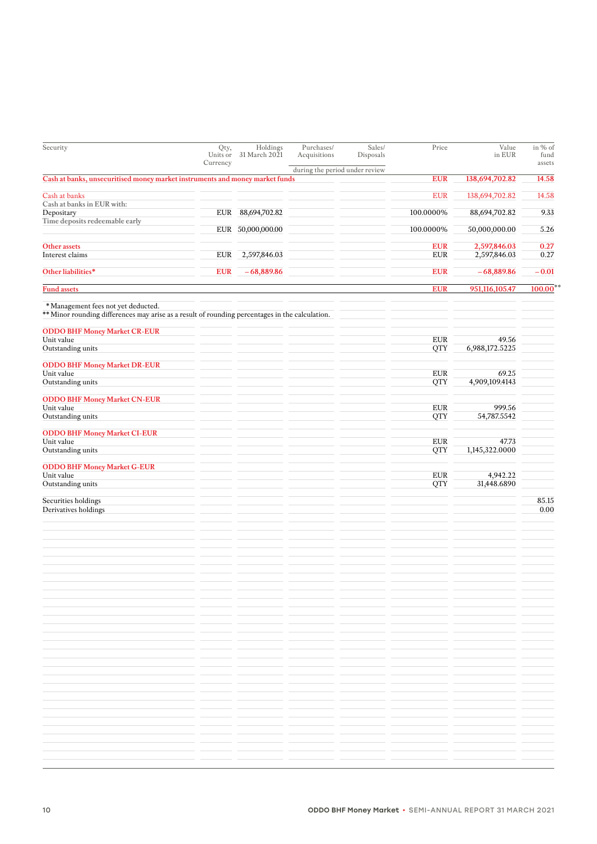| Security                                                                                                                              | Qty,<br>Units or<br>Currency | Holdings<br>31 March 2021 | Purchases/<br>Acquisitions | Sales/<br>Disposals            | Price                     | Value<br>in EUR         | in % of<br>fund<br>assets |
|---------------------------------------------------------------------------------------------------------------------------------------|------------------------------|---------------------------|----------------------------|--------------------------------|---------------------------|-------------------------|---------------------------|
|                                                                                                                                       |                              |                           |                            | during the period under review |                           |                         |                           |
| Cash at banks, unsecuritised money market instruments and money market funds                                                          |                              |                           |                            |                                | <b>EUR</b>                | 138,694,702.82          | 14.58                     |
| Cash at banks<br>Cash at banks in EUR with:                                                                                           |                              |                           |                            |                                | <b>EUR</b>                | 138,694,702.82          | 14.58                     |
| Depositary                                                                                                                            | <b>EUR</b>                   | 88,694,702.82             |                            |                                | 100.0000%                 | 88,694,702.82           | 9.33                      |
| Time deposits redeemable early                                                                                                        | EUR                          | 50,000,000.00             |                            |                                | 100.0000%                 | 50,000,000.00           | 5.26                      |
| Other assets                                                                                                                          |                              |                           |                            |                                | <b>EUR</b>                | 2,597,846.03            | 0.27                      |
| Interest claims                                                                                                                       | <b>EUR</b>                   | 2,597,846.03              |                            |                                | <b>EUR</b>                | 2,597,846.03            | 0.27                      |
| Other liabilities*                                                                                                                    | <b>EUR</b>                   | $-68,889.86$              |                            |                                | <b>EUR</b>                | $-68,889.86$            | $-0.01$                   |
| <b>Fund assets</b>                                                                                                                    |                              |                           |                            |                                | <b>EUR</b>                | 951,116,105.47          | $100.00$ **               |
| *Management fees not yet deducted.<br>** Minor rounding differences may arise as a result of rounding percentages in the calculation. |                              |                           |                            |                                |                           |                         |                           |
| <b>ODDO BHF Money Market CR-EUR</b>                                                                                                   |                              |                           |                            |                                |                           |                         |                           |
| Unit value<br>Outstanding units                                                                                                       |                              |                           |                            |                                | <b>EUR</b><br><b>QTY</b>  | 49.56<br>6,988,172.5225 |                           |
| <b>ODDO BHF Money Market DR-EUR</b>                                                                                                   |                              |                           |                            |                                |                           |                         |                           |
| Unit value                                                                                                                            |                              |                           |                            |                                | ${\rm EUR}$               | 69.25                   |                           |
| Outstanding units                                                                                                                     |                              |                           |                            |                                | <b>QTY</b>                | 4,909,109.4143          |                           |
| <b>ODDO BHF Money Market CN-EUR</b>                                                                                                   |                              |                           |                            |                                |                           |                         |                           |
| Unit value<br>Outstanding units                                                                                                       |                              |                           |                            |                                | <b>EUR</b><br><b>QTY</b>  | 999.56<br>54,787.5542   |                           |
| <b>ODDO BHF Money Market CI-EUR</b>                                                                                                   |                              |                           |                            |                                |                           |                         |                           |
| Unit value                                                                                                                            |                              |                           |                            |                                | ${\rm EUR}$               | 47.73                   |                           |
| Outstanding units                                                                                                                     |                              |                           |                            |                                | <b>QTY</b>                | 1,145,322.0000          |                           |
| <b>ODDO BHF Money Market G-EUR</b>                                                                                                    |                              |                           |                            |                                |                           |                         |                           |
| Unit value<br>Outstanding units                                                                                                       |                              |                           |                            |                                | ${\rm EUR}$<br><b>QTY</b> | 4,942.22<br>31,448.6890 |                           |
|                                                                                                                                       |                              |                           |                            |                                |                           |                         |                           |
| Securities holdings<br>Derivatives holdings                                                                                           |                              |                           |                            |                                |                           |                         | 85.15<br>0.00             |
|                                                                                                                                       |                              |                           |                            |                                |                           |                         |                           |
|                                                                                                                                       |                              |                           |                            |                                |                           |                         |                           |
|                                                                                                                                       |                              |                           |                            |                                |                           |                         |                           |
|                                                                                                                                       |                              |                           |                            |                                |                           |                         |                           |
|                                                                                                                                       |                              |                           |                            |                                |                           |                         |                           |
|                                                                                                                                       |                              |                           |                            |                                |                           |                         |                           |
|                                                                                                                                       |                              |                           |                            |                                |                           |                         |                           |
|                                                                                                                                       |                              |                           |                            |                                |                           |                         |                           |
|                                                                                                                                       |                              |                           |                            |                                |                           |                         |                           |
|                                                                                                                                       |                              |                           |                            |                                |                           |                         |                           |
|                                                                                                                                       |                              |                           |                            |                                |                           |                         |                           |
|                                                                                                                                       |                              |                           |                            |                                |                           |                         |                           |
|                                                                                                                                       |                              |                           |                            |                                |                           |                         |                           |
|                                                                                                                                       |                              |                           |                            |                                |                           |                         |                           |
|                                                                                                                                       |                              |                           |                            |                                |                           |                         |                           |
|                                                                                                                                       |                              |                           |                            |                                |                           |                         |                           |
|                                                                                                                                       |                              |                           |                            |                                |                           |                         |                           |
|                                                                                                                                       |                              |                           |                            |                                |                           |                         |                           |
|                                                                                                                                       |                              |                           |                            |                                |                           |                         |                           |
|                                                                                                                                       |                              |                           |                            |                                |                           |                         |                           |
|                                                                                                                                       |                              |                           |                            |                                |                           |                         |                           |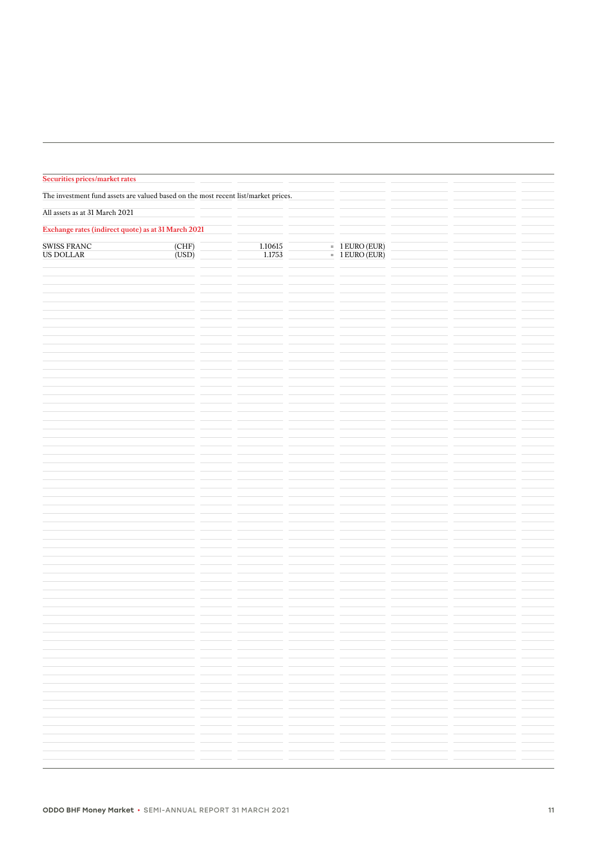| Securities prices/market rates                                                     |                               |                   |                                                         |  |  |
|------------------------------------------------------------------------------------|-------------------------------|-------------------|---------------------------------------------------------|--|--|
| The investment fund assets are valued based on the most recent list/market prices. |                               |                   |                                                         |  |  |
| All assets as at 31 March 2021                                                     |                               |                   |                                                         |  |  |
| Exchange rates (indirect quote) as at 31 March 2021                                |                               |                   |                                                         |  |  |
| SWISS FRANC<br>US DOLLAR                                                           | $\frac{\rm (CHF)}{\rm (USD)}$ | 1.10615<br>1.1753 | $=$ $\frac{1 \text{ EURO (EUR)}}{1 \text{ EURO (EUR)}}$ |  |  |
|                                                                                    |                               |                   |                                                         |  |  |
|                                                                                    |                               |                   |                                                         |  |  |
|                                                                                    |                               |                   |                                                         |  |  |
|                                                                                    |                               |                   |                                                         |  |  |
|                                                                                    |                               |                   |                                                         |  |  |
|                                                                                    |                               |                   |                                                         |  |  |
|                                                                                    |                               |                   |                                                         |  |  |
|                                                                                    |                               |                   |                                                         |  |  |
|                                                                                    |                               |                   |                                                         |  |  |
|                                                                                    |                               |                   |                                                         |  |  |
|                                                                                    |                               |                   |                                                         |  |  |
|                                                                                    |                               |                   |                                                         |  |  |
|                                                                                    |                               |                   |                                                         |  |  |
|                                                                                    |                               |                   |                                                         |  |  |
|                                                                                    |                               |                   |                                                         |  |  |
|                                                                                    |                               |                   |                                                         |  |  |
|                                                                                    |                               |                   |                                                         |  |  |
|                                                                                    |                               |                   |                                                         |  |  |
|                                                                                    |                               |                   |                                                         |  |  |
|                                                                                    |                               |                   |                                                         |  |  |
|                                                                                    |                               |                   |                                                         |  |  |
|                                                                                    |                               |                   |                                                         |  |  |
|                                                                                    |                               |                   |                                                         |  |  |
|                                                                                    |                               |                   |                                                         |  |  |
|                                                                                    |                               |                   |                                                         |  |  |
|                                                                                    |                               |                   |                                                         |  |  |
|                                                                                    |                               |                   |                                                         |  |  |
|                                                                                    |                               |                   |                                                         |  |  |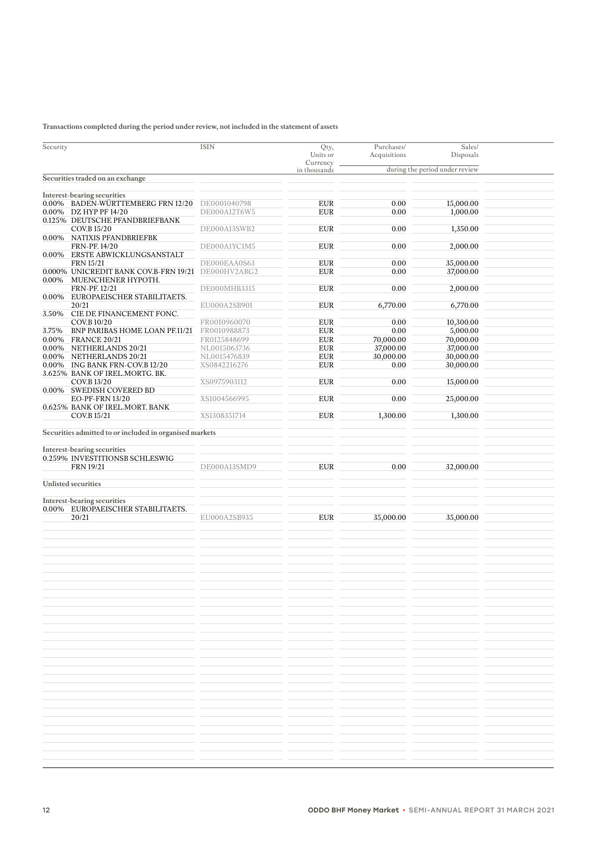## **Transactions completed during the period under review, not included in the statement of assets**

| Security |                                                             | <b>ISIN</b>                  | Qty,<br>Units or<br>Currency | Purchases/<br>Acquisitions | Sales/<br>Disposals            |  |
|----------|-------------------------------------------------------------|------------------------------|------------------------------|----------------------------|--------------------------------|--|
|          |                                                             |                              | in thousands                 |                            | during the period under review |  |
|          | Securities traded on an exchange                            |                              |                              |                            |                                |  |
|          |                                                             |                              |                              |                            |                                |  |
|          | Interest-bearing securities                                 |                              |                              |                            |                                |  |
|          | 0.00% BADEN-WÜRTTEMBERG FRN 12/20<br>0.00% DZ HYP PF 14/20  | DE0001040798<br>DE000A12T6W5 | <b>EUR</b><br><b>EUR</b>     | 0.00<br>0.00               | 15,000.00<br>1,000.00          |  |
|          | 0.125% DEUTSCHE PFANDBRIEFBANK                              |                              |                              |                            |                                |  |
|          | COV.B 15/20                                                 | DE000A13SWB2                 | <b>EUR</b>                   | 0.00                       | 1,350.00                       |  |
|          | 0.00% NATIXIS PFANDBRIEFBK                                  |                              |                              |                            |                                |  |
|          | FRN-PF. 14/20                                               | DE000A1YC1M5                 | <b>EUR</b>                   | 0.00                       | 2,000.00                       |  |
|          | 0.00% ERSTE ABWICKLUNGSANSTALT                              |                              |                              |                            |                                |  |
|          | <b>FRN 15/21</b>                                            | DE000EAA0S63                 | <b>EUR</b>                   | 0.00                       | 35,000.00                      |  |
| $0.00\%$ | 0.000% UNICREDIT BANK COV.B-FRN 19/21<br>MUENCHENER HYPOTH. | DE000HV2ARG2                 | <b>EUR</b>                   | 0.00                       | 37,000.00                      |  |
|          | FRN-PF. 12/21                                               | DE000MHB3315                 | <b>EUR</b>                   | 0.00                       | 2,000.00                       |  |
|          | 0.00% EUROPAEISCHER STABILITAETS.                           |                              |                              |                            |                                |  |
|          | 20/21                                                       | EU000A2SB901                 | <b>EUR</b>                   | 6,770.00                   | 6,770.00                       |  |
|          | 3.50% CIE DE FINANCEMENT FONC.                              |                              |                              |                            |                                |  |
|          | COV.B 10/20                                                 | FR0010960070                 | <b>EUR</b>                   | 0.00                       | 10,300.00                      |  |
| 3.75%    | BNP PARIBAS HOME LOAN PF.11/21                              | FR0010988873                 | <b>EUR</b>                   | 0.00                       | 5,000.00                       |  |
|          | 0.00% FRANCE 20/21                                          | FR0125848699                 | <b>EUR</b>                   | 70,000.00                  | 70,000.00                      |  |
|          | 0.00% NETHERLANDS 20/21                                     | NL0015063736                 | <b>EUR</b>                   | 37,000.00                  | 37,000.00                      |  |
|          | 0.00% NETHERLANDS 20/21                                     | NL0015476839                 | <b>EUR</b>                   | 30,000.00                  | 30,000.00                      |  |
|          | 0.00% ING BANK FRN-COV.B 12/20                              | XS0842216276                 | <b>EUR</b>                   | 0.00                       | 30,000.00                      |  |
|          | 3.625% BANK OF IREL.MORTG. BK.<br>COV.B 13/20               | XS0975903112                 | <b>EUR</b>                   | 0.00                       | 15,000.00                      |  |
|          | 0.00% SWEDISH COVERED BD                                    |                              |                              |                            |                                |  |
|          | <b>EO-PF-FRN 13/20</b>                                      | XS1004566995                 | <b>EUR</b>                   | 0.00                       | 25,000.00                      |  |
|          | 0.625% BANK OF IREL.MORT. BANK                              |                              |                              |                            |                                |  |
|          | COV.B 15/21                                                 | XS1308351714                 | <b>EUR</b>                   | 1,300.00                   | 1,300.00                       |  |
|          |                                                             |                              |                              |                            |                                |  |
|          | Securities admitted to or included in organised markets     |                              |                              |                            |                                |  |
|          |                                                             |                              |                              |                            |                                |  |
|          | Interest-bearing securities                                 |                              |                              |                            |                                |  |
|          | 0.259% INVESTITIONSB SCHLESWIG                              |                              |                              |                            |                                |  |
|          | <b>FRN 19/21</b>                                            | DE000A13SMD9                 | <b>EUR</b>                   | 0.00                       | 32,000.00                      |  |
|          | <b>Unlisted securities</b>                                  |                              |                              |                            |                                |  |
|          |                                                             |                              |                              |                            |                                |  |
|          | Interest-bearing securities                                 |                              |                              |                            |                                |  |
|          | 0.00% EUROPAEISCHER STABILITAETS.                           |                              |                              |                            |                                |  |
|          | 20/21                                                       | EU000A2SB935                 | <b>EUR</b>                   | 35,000.00                  | 35,000.00                      |  |
|          |                                                             |                              |                              |                            |                                |  |
|          |                                                             |                              |                              |                            |                                |  |
|          |                                                             |                              |                              |                            |                                |  |
|          |                                                             |                              |                              |                            |                                |  |
|          |                                                             |                              |                              |                            |                                |  |
|          |                                                             |                              |                              |                            |                                |  |
|          |                                                             |                              |                              |                            |                                |  |
|          |                                                             |                              |                              |                            |                                |  |
|          |                                                             |                              |                              |                            |                                |  |
|          |                                                             |                              |                              |                            |                                |  |
|          |                                                             |                              |                              |                            |                                |  |
|          |                                                             |                              |                              |                            |                                |  |
|          |                                                             |                              |                              |                            |                                |  |
|          |                                                             |                              |                              |                            |                                |  |
|          |                                                             |                              |                              |                            |                                |  |
|          |                                                             |                              |                              |                            |                                |  |
|          |                                                             |                              |                              |                            |                                |  |
|          |                                                             |                              |                              |                            |                                |  |
|          |                                                             |                              |                              |                            |                                |  |
|          |                                                             |                              |                              |                            |                                |  |
|          |                                                             |                              |                              |                            |                                |  |
|          |                                                             |                              |                              |                            |                                |  |
|          |                                                             |                              |                              |                            |                                |  |
|          |                                                             |                              |                              |                            |                                |  |
|          |                                                             |                              |                              |                            |                                |  |
|          |                                                             |                              |                              |                            |                                |  |
|          |                                                             |                              |                              |                            |                                |  |